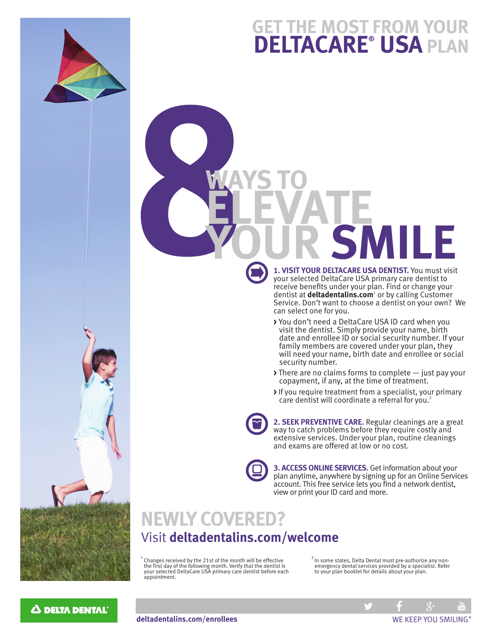# **GET THE MOST FROM YOUR DELTACARE® USA PLAN**

**1. VISIT YOUR DELTACARE USA DENTIST.** You must visit your selected DeltaCare USA primary care dentist to receive benefits under your plan. Find or change your dentist at **deltadentalins.com**<sup>1</sup> or by calling Customer Service. Don't want to choose a dentist on your own? We can select one for you.

**MILE** 

- **>** You don't need a DeltaCare USA ID card when you visit the dentist. Simply provide your name, birth date and enrollee ID or social security number. If your family members are covered under your plan, they will need your name, birth date and enrollee or social security number.
- **>** There are no claims forms to complete just pay your copayment, if any, at the time of treatment.
- **>** If you require treatment from a specialist, your primary care dentist will coordinate a referral for you.<sup>2</sup>

**2. SEEK PREVENTIVE CARE.** Regular cleanings are a great way to catch problems before they require costly and extensive services. Under your plan, routine cleanings and exams are offered at low or no cost.

**WAYS TO**

**ELEVATE**

**3. ACCESS ONLINE SERVICES.** Get information about your plan anytime, anywhere by signing up for an Online Services account. This free service lets you find a network dentist, view or print your ID card and more.

## **NEWLY COVERED?** Visit **deltadentalins.com/welcome**

 $1$  Changes received by the 21st of the month will be effective the first day of the following month. Verify that the dentist is your selected DeltaCare USA primary care dentist before each appointment.

<sup>2</sup> In some states, Delta Dental must pre-authorize any nonemergency dental services provided by a specialist. Refer to your plan booklet for details about your plan.

 $\boldsymbol{\Delta}$  delta dental $\tilde{ }$